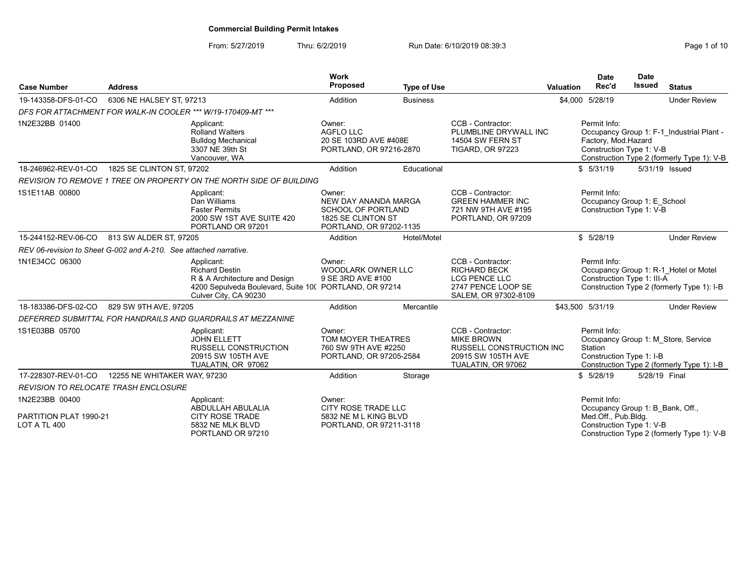| <b>Case Number</b>                                                | <b>Address</b>                                                                                                                                          |                                                                                                             | <b>Work</b><br>Proposed                                                                                      | <b>Type of Use</b> |                                                                                                                       | <b>Valuation</b> | <b>Date</b><br>Rec'd                                                                                                              | <b>Date</b><br><b>Issued</b> | <b>Status</b>                                                                           |
|-------------------------------------------------------------------|---------------------------------------------------------------------------------------------------------------------------------------------------------|-------------------------------------------------------------------------------------------------------------|--------------------------------------------------------------------------------------------------------------|--------------------|-----------------------------------------------------------------------------------------------------------------------|------------------|-----------------------------------------------------------------------------------------------------------------------------------|------------------------------|-----------------------------------------------------------------------------------------|
| 19-143358-DFS-01-CO                                               | 6306 NE HALSEY ST, 97213                                                                                                                                |                                                                                                             | Addition                                                                                                     | <b>Business</b>    |                                                                                                                       |                  | \$4,000 5/28/19                                                                                                                   |                              | <b>Under Review</b>                                                                     |
|                                                                   |                                                                                                                                                         | DFS FOR ATTACHMENT FOR WALK-IN COOLER *** W/19-170409-MT ***                                                |                                                                                                              |                    |                                                                                                                       |                  |                                                                                                                                   |                              |                                                                                         |
| 1N2E32BB 01400                                                    |                                                                                                                                                         | Applicant:<br><b>Rolland Walters</b><br><b>Bulldog Mechanical</b><br>3307 NE 39th St<br>Vancouver, WA       | Owner:<br><b>AGFLO LLC</b><br>20 SE 103RD AVE #408E<br>PORTLAND, OR 97216-2870                               |                    | CCB - Contractor:<br>PLUMBLINE DRYWALL INC<br><b>14504 SW FERN ST</b><br><b>TIGARD, OR 97223</b>                      |                  | Permit Info:<br>Factory, Mod.Hazard<br>Construction Type 1: V-B                                                                   |                              | Occupancy Group 1: F-1 Industrial Plant -<br>Construction Type 2 (formerly Type 1): V-B |
| 18-246962-REV-01-CO                                               | 1825 SE CLINTON ST. 97202                                                                                                                               |                                                                                                             | Addition                                                                                                     | Educational        |                                                                                                                       |                  | \$5/31/19                                                                                                                         |                              | 5/31/19 Issued                                                                          |
|                                                                   |                                                                                                                                                         | REVISION TO REMOVE 1 TREE ON PROPERTY ON THE NORTH SIDE OF BUILDING                                         |                                                                                                              |                    |                                                                                                                       |                  |                                                                                                                                   |                              |                                                                                         |
| 1S1E11AB 00800                                                    |                                                                                                                                                         | Applicant:<br>Dan Williams<br><b>Faster Permits</b><br>2000 SW 1ST AVE SUITE 420<br>PORTLAND OR 97201       | Owner:<br>NEW DAY ANANDA MARGA<br><b>SCHOOL OF PORTLAND</b><br>1825 SE CLINTON ST<br>PORTLAND, OR 97202-1135 |                    | CCB - Contractor:<br><b>GREEN HAMMER INC</b><br>721 NW 9TH AVE #195<br>PORTLAND, OR 97209                             |                  | Permit Info:<br>Occupancy Group 1: E School<br>Construction Type 1: V-B                                                           |                              |                                                                                         |
| 15-244152-REV-06-CO                                               | 813 SW ALDER ST, 97205                                                                                                                                  |                                                                                                             | Addition                                                                                                     | Hotel/Motel        |                                                                                                                       |                  | \$5/28/19                                                                                                                         |                              | <b>Under Review</b>                                                                     |
| REV 06-revision to Sheet G-002 and A-210. See attached narrative. |                                                                                                                                                         |                                                                                                             |                                                                                                              |                    |                                                                                                                       |                  |                                                                                                                                   |                              |                                                                                         |
| 1N1E34CC 06300                                                    | Applicant:<br><b>Richard Destin</b><br>R & A Architecture and Design<br>4200 Sepulveda Boulevard, Suite 10( PORTLAND, OR 97214<br>Culver City, CA 90230 |                                                                                                             | Owner:<br><b>WOODLARK OWNER LLC</b><br>9 SE 3RD AVE #100                                                     |                    | CCB - Contractor:<br><b>RICHARD BECK</b><br>LCG PENCE LLC<br>2747 PENCE LOOP SE<br>SALEM, OR 97302-8109               |                  | Permit Info:<br>Occupancy Group 1: R-1_Hotel or Motel<br>Construction Type 1: III-A<br>Construction Type 2 (formerly Type 1): I-B |                              |                                                                                         |
| 18-183386-DFS-02-CO                                               | 829 SW 9TH AVE, 97205                                                                                                                                   |                                                                                                             | Addition                                                                                                     | Mercantile         |                                                                                                                       | \$43,500 5/31/19 |                                                                                                                                   |                              | <b>Under Review</b>                                                                     |
|                                                                   |                                                                                                                                                         | DEFERRED SUBMITTAL FOR HANDRAILS AND GUARDRAILS AT MEZZANINE                                                |                                                                                                              |                    |                                                                                                                       |                  |                                                                                                                                   |                              |                                                                                         |
| 1S1E03BB 05700                                                    |                                                                                                                                                         | Applicant:<br><b>JOHN ELLETT</b><br><b>RUSSELL CONSTRUCTION</b><br>20915 SW 105TH AVE<br>TUALATIN, OR 97062 | Owner:<br>TOM MOYER THEATRES<br>760 SW 9TH AVE #2250<br>PORTLAND, OR 97205-2584                              |                    | CCB - Contractor:<br><b>MIKE BROWN</b><br><b>RUSSELL CONSTRUCTION INC</b><br>20915 SW 105TH AVE<br>TUALATIN, OR 97062 |                  | Permit Info:<br>Station<br>Construction Type 1: I-B                                                                               |                              | Occupancy Group 1: M Store, Service<br>Construction Type 2 (formerly Type 1): I-B       |
| 17-228307-REV-01-CO                                               | 12255 NE WHITAKER WAY, 97230                                                                                                                            |                                                                                                             | Addition                                                                                                     | Storage            |                                                                                                                       |                  | \$5/28/19                                                                                                                         | 5/28/19 Final                |                                                                                         |
| <b>REVISION TO RELOCATE TRASH ENCLOSURE</b>                       |                                                                                                                                                         |                                                                                                             |                                                                                                              |                    |                                                                                                                       |                  |                                                                                                                                   |                              |                                                                                         |
| 1N2E23BB 00400<br>PARTITION PLAT 1990-21<br>LOT A TL 400          |                                                                                                                                                         | Applicant:<br>ABDULLAH ABULALIA<br><b>CITY ROSE TRADE</b><br>5832 NE MLK BLVD<br>PORTLAND OR 97210          | Owner:<br>CITY ROSE TRADE LLC<br>5832 NE M L KING BLVD<br>PORTLAND, OR 97211-3118                            |                    |                                                                                                                       |                  | Permit Info:<br>Occupancy Group 1: B Bank, Off.,<br>Med.Off., Pub.Bldg.<br>Construction Type 1: V-B                               |                              | Construction Type 2 (formerly Type 1): V-B                                              |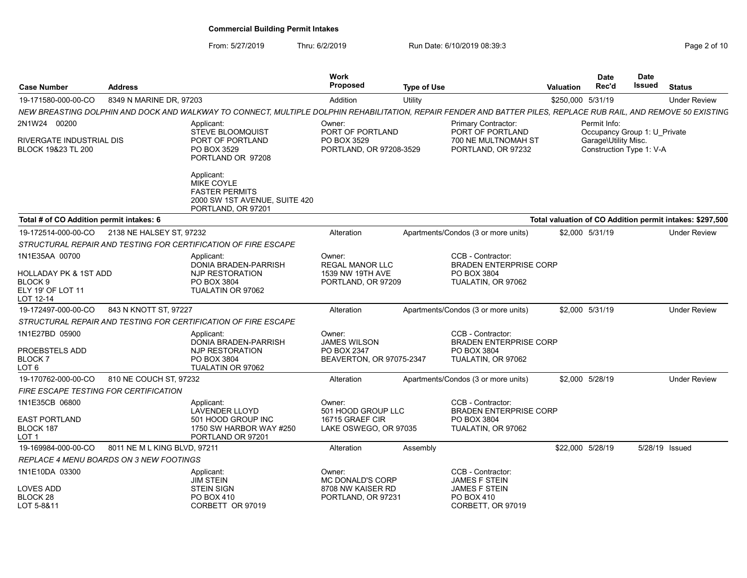| <b>Case Number</b>                                                                              | <b>Address</b>                          |                                                                                                                                                                  | Work<br><b>Proposed</b>                                                      | <b>Type of Use</b> |                                                                                         | Valuation         | <b>Date</b><br>Rec'd                                                                             | <b>Date</b><br>Issued | <b>Status</b>                                            |
|-------------------------------------------------------------------------------------------------|-----------------------------------------|------------------------------------------------------------------------------------------------------------------------------------------------------------------|------------------------------------------------------------------------------|--------------------|-----------------------------------------------------------------------------------------|-------------------|--------------------------------------------------------------------------------------------------|-----------------------|----------------------------------------------------------|
| 19-171580-000-00-CO                                                                             | 8349 N MARINE DR, 97203                 |                                                                                                                                                                  | Addition                                                                     | Utility            |                                                                                         | \$250,000 5/31/19 |                                                                                                  |                       | <b>Under Review</b>                                      |
|                                                                                                 |                                         | NEW BREASTING DOLPHIN AND DOCK AND WALKWAY TO CONNECT, MULTIPLE DOLPHIN REHABILITATION, REPAIR FENDER AND BATTER PILES, REPLACE RUB RAIL, AND REMOVE 50 EXISTING |                                                                              |                    |                                                                                         |                   |                                                                                                  |                       |                                                          |
| 2N1W24 00200<br>RIVERGATE INDUSTRIAL DIS<br><b>BLOCK 19&amp;23 TL 200</b>                       |                                         | Applicant:<br><b>STEVE BLOOMQUIST</b><br>PORT OF PORTLAND<br>PO BOX 3529<br>PORTLAND OR 97208                                                                    | Owner:<br>PORT OF PORTLAND<br>PO BOX 3529<br>PORTLAND, OR 97208-3529         |                    | Primary Contractor:<br>PORT OF PORTLAND<br>700 NE MULTNOMAH ST<br>PORTLAND, OR 97232    |                   | Permit Info:<br>Occupancy Group 1: U Private<br>Garage\Utility Misc.<br>Construction Type 1: V-A |                       |                                                          |
|                                                                                                 |                                         | Applicant:<br><b>MIKE COYLE</b><br><b>FASTER PERMITS</b><br>2000 SW 1ST AVENUE, SUITE 420<br>PORTLAND, OR 97201                                                  |                                                                              |                    |                                                                                         |                   |                                                                                                  |                       |                                                          |
| Total # of CO Addition permit intakes: 6                                                        |                                         |                                                                                                                                                                  |                                                                              |                    |                                                                                         |                   |                                                                                                  |                       | Total valuation of CO Addition permit intakes: \$297,500 |
| 19-172514-000-00-CO                                                                             | 2138 NE HALSEY ST, 97232                |                                                                                                                                                                  | Alteration                                                                   |                    | Apartments/Condos (3 or more units)                                                     |                   | \$2,000 5/31/19                                                                                  |                       | <b>Under Review</b>                                      |
|                                                                                                 |                                         | STRUCTURAL REPAIR AND TESTING FOR CERTIFICATION OF FIRE ESCAPE                                                                                                   |                                                                              |                    |                                                                                         |                   |                                                                                                  |                       |                                                          |
| 1N1E35AA 00700<br>HOLLADAY PK & 1ST ADD<br>BLOCK <sub>9</sub><br>ELY 19' OF LOT 11<br>LOT 12-14 |                                         | Applicant:<br>DONIA BRADEN-PARRISH<br>NJP RESTORATION<br>PO BOX 3804<br>TUALATIN OR 97062                                                                        | Owner:<br><b>REGAL MANOR LLC</b><br>1539 NW 19TH AVE<br>PORTLAND, OR 97209   |                    | CCB - Contractor:<br><b>BRADEN ENTERPRISE CORP</b><br>PO BOX 3804<br>TUALATIN, OR 97062 |                   |                                                                                                  |                       |                                                          |
| 19-172497-000-00-CO                                                                             | 843 N KNOTT ST, 97227                   |                                                                                                                                                                  | Alteration                                                                   |                    | Apartments/Condos (3 or more units)                                                     |                   | \$2,000 5/31/19                                                                                  |                       | <b>Under Review</b>                                      |
|                                                                                                 |                                         | STRUCTURAL REPAIR AND TESTING FOR CERTIFICATION OF FIRE ESCAPE                                                                                                   |                                                                              |                    |                                                                                         |                   |                                                                                                  |                       |                                                          |
| 1N1E27BD 05900<br>PROEBSTELS ADD<br>BLOCK <sub>7</sub><br>LOT 6                                 |                                         | Applicant:<br>DONIA BRADEN-PARRISH<br><b>NJP RESTORATION</b><br>PO BOX 3804<br>TUALATIN OR 97062                                                                 | Owner:<br><b>JAMES WILSON</b><br>PO BOX 2347<br>BEAVERTON, OR 97075-2347     |                    | CCB - Contractor:<br><b>BRADEN ENTERPRISE CORP</b><br>PO BOX 3804<br>TUALATIN, OR 97062 |                   |                                                                                                  |                       |                                                          |
| 19-170762-000-00-CO                                                                             | 810 NE COUCH ST, 97232                  |                                                                                                                                                                  | Alteration                                                                   |                    | Apartments/Condos (3 or more units)                                                     |                   | \$2.000 5/28/19                                                                                  |                       | <b>Under Review</b>                                      |
| FIRE ESCAPE TESTING FOR CERTIFICATION                                                           |                                         |                                                                                                                                                                  |                                                                              |                    |                                                                                         |                   |                                                                                                  |                       |                                                          |
| 1N1E35CB 06800<br><b>EAST PORTLAND</b><br>BLOCK 187<br>LOT 1                                    |                                         | Applicant:<br><b>LAVENDER LLOYD</b><br>501 HOOD GROUP INC<br>1750 SW HARBOR WAY #250<br>PORTLAND OR 97201                                                        | Owner:<br>501 HOOD GROUP LLC<br>16715 GRAEF CIR<br>LAKE OSWEGO, OR 97035     |                    | CCB - Contractor:<br><b>BRADEN ENTERPRISE CORP</b><br>PO BOX 3804<br>TUALATIN, OR 97062 |                   |                                                                                                  |                       |                                                          |
| 19-169984-000-00-CO                                                                             | 8011 NE M L KING BLVD, 97211            |                                                                                                                                                                  | Alteration                                                                   | Assembly           |                                                                                         |                   | \$22,000 5/28/19                                                                                 |                       | 5/28/19 Issued                                           |
|                                                                                                 | REPLACE 4 MENU BOARDS ON 3 NEW FOOTINGS |                                                                                                                                                                  |                                                                              |                    |                                                                                         |                   |                                                                                                  |                       |                                                          |
| 1N1E10DA 03300<br><b>LOVES ADD</b><br>BLOCK 28                                                  |                                         | Applicant:<br><b>JIM STEIN</b><br><b>STEIN SIGN</b><br>PO BOX 410                                                                                                | Owner:<br><b>MC DONALD'S CORP</b><br>8708 NW KAISER RD<br>PORTLAND, OR 97231 |                    | CCB - Contractor:<br><b>JAMES F STEIN</b><br>JAMES F STEIN<br>PO BOX 410                |                   |                                                                                                  |                       |                                                          |
| LOT 5-8&11                                                                                      |                                         | CORBETT OR 97019                                                                                                                                                 |                                                                              |                    | CORBETT, OR 97019                                                                       |                   |                                                                                                  |                       |                                                          |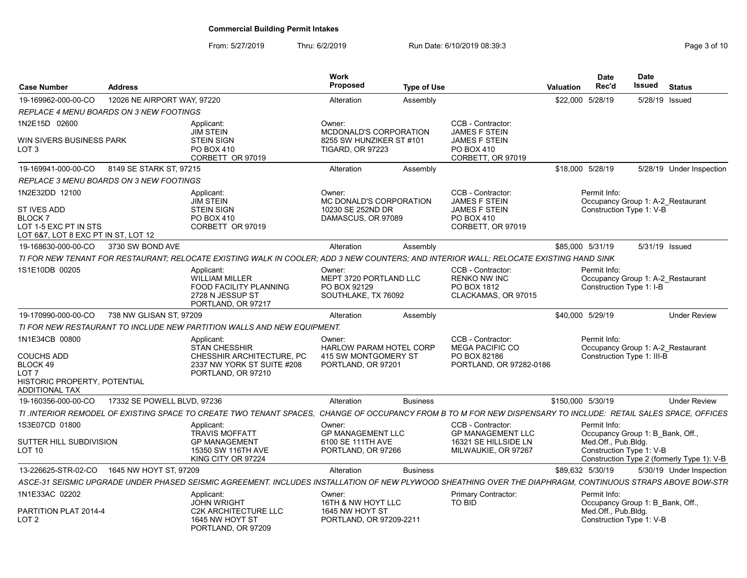| <b>Case Number</b>                                                                           | <b>Address</b>              |                                                                                                                                                                | Work<br><b>Proposed</b>                                                 | <b>Type of Use</b> |                                                                                | Valuation         | Date<br>Rec'd                                     | <b>Date</b><br><b>Issued</b> | <b>Status</b>                              |
|----------------------------------------------------------------------------------------------|-----------------------------|----------------------------------------------------------------------------------------------------------------------------------------------------------------|-------------------------------------------------------------------------|--------------------|--------------------------------------------------------------------------------|-------------------|---------------------------------------------------|------------------------------|--------------------------------------------|
| 19-169962-000-00-CO                                                                          | 12026 NE AIRPORT WAY, 97220 |                                                                                                                                                                | Alteration                                                              | Assembly           |                                                                                | \$22,000 5/28/19  |                                                   | 5/28/19 Issued               |                                            |
| REPLACE 4 MENU BOARDS ON 3 NEW FOOTINGS                                                      |                             |                                                                                                                                                                |                                                                         |                    |                                                                                |                   |                                                   |                              |                                            |
| 1N2E15D 02600                                                                                |                             | Applicant:<br><b>JIM STEIN</b>                                                                                                                                 | Owner:<br>MCDONALD'S CORPORATION                                        |                    | CCB - Contractor:<br><b>JAMES F STEIN</b>                                      |                   |                                                   |                              |                                            |
| WIN SIVERS BUSINESS PARK<br>LOT <sub>3</sub>                                                 |                             | <b>STEIN SIGN</b><br>PO BOX 410<br>CORBETT OR 97019                                                                                                            | 8255 SW HUNZIKER ST #101<br><b>TIGARD, OR 97223</b>                     |                    | <b>JAMES F STEIN</b><br>PO BOX 410<br>CORBETT, OR 97019                        |                   |                                                   |                              |                                            |
| 19-169941-000-00-CO                                                                          | 8149 SE STARK ST. 97215     |                                                                                                                                                                | Alteration                                                              | Assembly           |                                                                                | \$18,000 5/28/19  |                                                   |                              | 5/28/19 Under Inspection                   |
| <b>REPLACE 3 MENU BOARDS ON 3 NEW FOOTINGS</b>                                               |                             |                                                                                                                                                                |                                                                         |                    |                                                                                |                   |                                                   |                              |                                            |
| 1N2E32DD 12100                                                                               |                             | Applicant:<br><b>JIM STEIN</b>                                                                                                                                 | Owner:<br>MC DONALD'S CORPORATION                                       |                    | CCB - Contractor:<br><b>JAMES F STEIN</b>                                      |                   | Permit Info:<br>Occupancy Group 1: A-2 Restaurant |                              |                                            |
| ST IVES ADD<br><b>BLOCK7</b><br>LOT 1-5 EXC PT IN STS<br>LOT 6&7. LOT 8 EXC PT IN ST. LOT 12 |                             | <b>STEIN SIGN</b><br>PO BOX 410<br>CORBETT OR 97019                                                                                                            | 10230 SE 252ND DR<br>DAMASCUS, OR 97089                                 |                    | <b>JAMES F STEIN</b><br>PO BOX 410<br>CORBETT, OR 97019                        |                   | Construction Type 1: V-B                          |                              |                                            |
| 19-168630-000-00-CO                                                                          | 3730 SW BOND AVE            |                                                                                                                                                                | Alteration                                                              | Assembly           |                                                                                | \$85,000 5/31/19  |                                                   | 5/31/19 Issued               |                                            |
|                                                                                              |                             | TI FOR NEW TENANT FOR RESTAURANT: RELOCATE EXISTING WALK IN COOLER: ADD 3 NEW COUNTERS: AND INTERIOR WALL: RELOCATE EXISTING HAND SINK                         |                                                                         |                    |                                                                                |                   |                                                   |                              |                                            |
| 1S1E10DB 00205                                                                               |                             | Applicant:<br>WILLIAM MILLER<br><b>FOOD FACILITY PLANNING</b><br>2728 N JESSUP ST<br>PORTLAND, OR 97217                                                        | Owner:<br>MEPT 3720 PORTLAND LLC<br>PO BOX 92129<br>SOUTHLAKE, TX 76092 |                    | CCB - Contractor:<br><b>RENKO NW INC</b><br>PO BOX 1812<br>CLACKAMAS, OR 97015 |                   | Permit Info:<br>Construction Type 1: I-B          |                              | Occupancy Group 1: A-2 Restaurant          |
| 19-170990-000-00-CO                                                                          | 738 NW GLISAN ST. 97209     |                                                                                                                                                                | Alteration                                                              | Assembly           |                                                                                | \$40.000 5/29/19  |                                                   |                              | <b>Under Review</b>                        |
|                                                                                              |                             | TI FOR NEW RESTAURANT TO INCLUDE NEW PARTITION WALLS AND NEW EQUIPMENT.                                                                                        |                                                                         |                    |                                                                                |                   |                                                   |                              |                                            |
| 1N1E34CB 00800                                                                               |                             | Applicant<br><b>STAN CHESSHIR</b>                                                                                                                              | Owner:<br><b>HARLOW PARAM HOTEL CORP</b>                                |                    | CCB - Contractor:<br><b>MEGA PACIFIC CO</b>                                    |                   | Permit Info:                                      |                              | Occupancy Group 1: A-2 Restaurant          |
| <b>COUCHS ADD</b><br>BLOCK 49<br>LOT <sub>7</sub><br><b>HISTORIC PROPERTY, POTENTIAL</b>     |                             | CHESSHIR ARCHITECTURE. PC<br>2337 NW YORK ST SUITE #208<br>PORTLAND, OR 97210                                                                                  | 415 SW MONTGOMERY ST<br>PORTLAND, OR 97201                              |                    | PO BOX 82186<br>PORTLAND, OR 97282-0186                                        |                   | Construction Type 1: III-B                        |                              |                                            |
| ADDITIONAL TAX                                                                               |                             |                                                                                                                                                                |                                                                         |                    |                                                                                |                   |                                                   |                              |                                            |
| 19-160356-000-00-CO                                                                          | 17332 SE POWELL BLVD, 97236 |                                                                                                                                                                | Alteration                                                              | <b>Business</b>    |                                                                                | \$150,000 5/30/19 |                                                   |                              | <b>Under Review</b>                        |
|                                                                                              |                             | TI .INTERIOR REMODEL OF EXISTING SPACE TO CREATE TWO TENANT SPACES. CHANGE OF OCCUPANCY FROM B TO M FOR NEW DISPENSARY TO INCLUDE: RETAIL SALES SPACE, OFFICES |                                                                         |                    |                                                                                |                   |                                                   |                              |                                            |
| 1S3E07CD 01800                                                                               |                             | Applicant<br><b>TRAVIS MOFFATT</b>                                                                                                                             | Owner:<br><b>GP MANAGEMENT LLC</b>                                      |                    | CCB - Contractor:<br><b>GP MANAGEMENT LLC</b>                                  |                   | Permit Info:<br>Occupancy Group 1: B_Bank, Off.,  |                              |                                            |
| SUTTER HILL SUBDIVISION<br><b>LOT 10</b>                                                     |                             | <b>GP MANAGEMENT</b><br>15350 SW 116TH AVE<br>KING CITY OR 97224                                                                                               | 6100 SE 111TH AVE<br>PORTLAND, OR 97266                                 |                    | 16321 SE HILLSIDE LN<br>MILWAUKIE, OR 97267                                    |                   | Med.Off., Pub.Bldg.<br>Construction Type 1: V-B   |                              | Construction Type 2 (formerly Type 1): V-B |
| 13-226625-STR-02-CO                                                                          | 1645 NW HOYT ST. 97209      |                                                                                                                                                                | Alteration                                                              | <b>Business</b>    |                                                                                | \$89,632 5/30/19  |                                                   |                              | 5/30/19 Under Inspection                   |
|                                                                                              |                             | ASCE-31 SEISMIC UPGRADE UNDER PHASED SEISMIC AGREEMENT. INCLUDES INSTALLATION OF NEW PLYWOOD SHEATHING OVER THE DIAPHRAGM, CONTINUOUS STRAPS ABOVE BOW-STR     |                                                                         |                    |                                                                                |                   |                                                   |                              |                                            |
| 1N1E33AC 02202                                                                               |                             | Applicant<br><b>JOHN WRIGHT</b>                                                                                                                                | Owner:<br>16TH & NW HOYT LLC                                            |                    | <b>Primary Contractor:</b><br>TO BID                                           |                   | Permit Info:<br>Occupancy Group 1: B Bank, Off.,  |                              |                                            |
| PARTITION PLAT 2014-4<br>LOT <sub>2</sub>                                                    |                             | <b>C2K ARCHITECTURE LLC</b><br>1645 NW HOYT ST<br>PORTLAND, OR 97209                                                                                           | 1645 NW HOYT ST<br>PORTLAND, OR 97209-2211                              |                    |                                                                                |                   | Med.Off., Pub.Bldg.<br>Construction Type 1: V-B   |                              |                                            |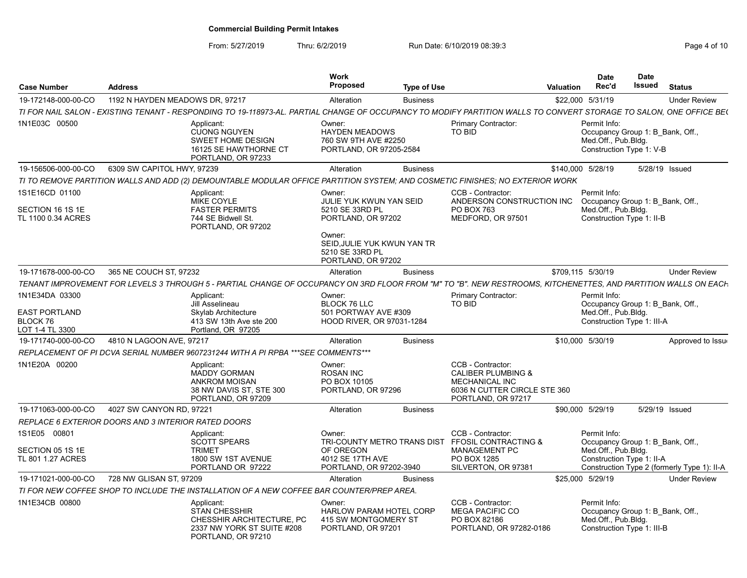| <b>Case Number</b>                                                    | <b>Address</b>                  |                                                                                                                                                                     | Work<br>Proposed                                                                                                   | <b>Type of Use</b> |                                                                                                                                   | Valuation | Date<br>Rec'd                                                                                         | <b>Date</b><br><b>Issued</b> | <b>Status</b>                               |
|-----------------------------------------------------------------------|---------------------------------|---------------------------------------------------------------------------------------------------------------------------------------------------------------------|--------------------------------------------------------------------------------------------------------------------|--------------------|-----------------------------------------------------------------------------------------------------------------------------------|-----------|-------------------------------------------------------------------------------------------------------|------------------------------|---------------------------------------------|
| 19-172148-000-00-CO                                                   | 1192 N HAYDEN MEADOWS DR. 97217 |                                                                                                                                                                     | Alteration                                                                                                         | <b>Business</b>    |                                                                                                                                   |           | \$22,000 5/31/19                                                                                      |                              | <b>Under Review</b>                         |
|                                                                       |                                 | TI FOR NAIL SALON - EXISTING TENANT - RESPONDING TO 19-118973-AL. PARTIAL CHANGE OF OCCUPANCY TO MODIFY PARTITION WALLS TO CONVERT STORAGE TO SALON, ONE OFFICE BE( |                                                                                                                    |                    |                                                                                                                                   |           |                                                                                                       |                              |                                             |
| 1N1E03C 00500                                                         |                                 | Applicant:<br><b>CUONG NGUYEN</b><br>SWEET HOME DESIGN<br>16125 SE HAWTHORNE CT<br>PORTLAND, OR 97233                                                               | Owner:<br><b>HAYDEN MEADOWS</b><br>760 SW 9TH AVE #2250<br>PORTLAND, OR 97205-2584                                 |                    | Primary Contractor:<br>TO BID                                                                                                     |           | Permit Info:<br>Occupancy Group 1: B Bank, Off.,<br>Med.Off., Pub.Bldg.<br>Construction Type 1: V-B   |                              |                                             |
| 19-156506-000-00-CO                                                   | 6309 SW CAPITOL HWY, 97239      |                                                                                                                                                                     | Alteration                                                                                                         | <b>Business</b>    |                                                                                                                                   |           | \$140,000 5/28/19                                                                                     |                              | 5/28/19 Issued                              |
|                                                                       |                                 | TI TO REMOVE PARTITION WALLS AND ADD (2) DEMOUNTABLE MODULAR OFFICE PARTITION SYSTEM; AND COSMETIC FINISHES; NO EXTERIOR WORK                                       |                                                                                                                    |                    |                                                                                                                                   |           |                                                                                                       |                              |                                             |
| 1S1E16CD 01100<br>SECTION 16 1S 1E<br>TL 1100 0.34 ACRES              |                                 | Applicant:<br>MIKE COYLE<br><b>FASTER PERMITS</b><br>744 SE Bidwell St.<br>PORTLAND, OR 97202                                                                       | Owner:<br>JULIE YUK KWUN YAN SEID<br>5210 SE 33RD PL<br>PORTLAND, OR 97202<br>Owner:<br>SEID.JULIE YUK KWUN YAN TR |                    | CCB - Contractor:<br>ANDERSON CONSTRUCTION INC<br>PO BOX 763<br>MEDFORD, OR 97501                                                 |           | Permit Info:<br>Occupancy Group 1: B Bank, Off.,<br>Med.Off., Pub.Bldg.<br>Construction Type 1: II-B  |                              |                                             |
|                                                                       |                                 |                                                                                                                                                                     | 5210 SE 33RD PL<br>PORTLAND, OR 97202                                                                              |                    |                                                                                                                                   |           |                                                                                                       |                              |                                             |
| 19-171678-000-00-CO                                                   | 365 NE COUCH ST, 97232          |                                                                                                                                                                     | Alteration                                                                                                         | <b>Business</b>    |                                                                                                                                   |           | \$709,115 5/30/19                                                                                     |                              | <b>Under Review</b>                         |
|                                                                       |                                 | TENANT IMPROVEMENT FOR LEVELS 3 THROUGH 5 - PARTIAL CHANGE OF OCCUPANCY ON 3RD FLOOR FROM "M" TO "B". NEW RESTROOMS, KITCHENETTES, AND PARTITION WALLS ON EACH      |                                                                                                                    |                    |                                                                                                                                   |           |                                                                                                       |                              |                                             |
| 1N1E34DA 03300<br><b>EAST PORTLAND</b><br>BLOCK 76<br>LOT 1-4 TL 3300 |                                 | Applicant:<br>Jill Asselineau<br>Skylab Architecture<br>413 SW 13th Ave ste 200<br>Portland, OR 97205                                                               | Owner:<br><b>BLOCK 76 LLC</b><br>501 PORTWAY AVE #309<br>HOOD RIVER, OR 97031-1284                                 |                    | Primary Contractor:<br>TO BID                                                                                                     |           | Permit Info:<br>Occupancy Group 1: B Bank, Off.,<br>Med.Off., Pub.Bldg.<br>Construction Type 1: III-A |                              |                                             |
| 19-171740-000-00-CO                                                   | 4810 N LAGOON AVE, 97217        |                                                                                                                                                                     | Alteration                                                                                                         | <b>Business</b>    |                                                                                                                                   |           | \$10,000 5/30/19                                                                                      |                              | Approved to Issue                           |
|                                                                       |                                 | REPLACEMENT OF PI DCVA SERIAL NUMBER 9607231244 WITH A PI RPBA ***SEE COMMENTS***                                                                                   |                                                                                                                    |                    |                                                                                                                                   |           |                                                                                                       |                              |                                             |
| 1N1E20A 00200                                                         |                                 | Applicant:<br>MADDY GORMAN<br><b>ANKROM MOISAN</b><br>38 NW DAVIS ST, STE 300<br>PORTLAND, OR 97209                                                                 | Owner:<br><b>ROSAN INC</b><br>PO BOX 10105<br>PORTLAND, OR 97296                                                   |                    | CCB - Contractor:<br><b>CALIBER PLUMBING &amp;</b><br><b>MECHANICAL INC</b><br>6036 N CUTTER CIRCLE STE 360<br>PORTLAND, OR 97217 |           |                                                                                                       |                              |                                             |
| 19-171063-000-00-CO                                                   | 4027 SW CANYON RD, 97221        |                                                                                                                                                                     | Alteration                                                                                                         | <b>Business</b>    |                                                                                                                                   |           | \$90,000 5/29/19                                                                                      |                              | 5/29/19 Issued                              |
| REPLACE 6 EXTERIOR DOORS AND 3 INTERIOR RATED DOORS                   |                                 |                                                                                                                                                                     |                                                                                                                    |                    |                                                                                                                                   |           |                                                                                                       |                              |                                             |
| 1S1E05 00801<br>SECTION 05 1S 1E<br>TL 801 1.27 ACRES                 |                                 | Applicant:<br><b>SCOTT SPEARS</b><br><b>TRIMET</b><br>1800 SW 1ST AVENUE                                                                                            | Owner:<br>OF OREGON<br>4012 SE 17TH AVE                                                                            |                    | CCB - Contractor:<br>TRI-COUNTY METRO TRANS DIST FFOSIL CONTRACTING &<br><b>MANAGEMENT PC</b><br>PO BOX 1285                      |           | Permit Info:<br>Occupancy Group 1: B Bank, Off.,<br>Med.Off., Pub.Bldg.<br>Construction Type 1: II-A  |                              |                                             |
|                                                                       |                                 | PORTLAND OR 97222                                                                                                                                                   | PORTLAND, OR 97202-3940                                                                                            |                    | SILVERTON, OR 97381                                                                                                               |           |                                                                                                       |                              | Construction Type 2 (formerly Type 1): II-A |
| 19-171021-000-00-CO                                                   | 728 NW GLISAN ST, 97209         |                                                                                                                                                                     | Alteration                                                                                                         | <b>Business</b>    |                                                                                                                                   |           | \$25,000 5/29/19                                                                                      |                              | <b>Under Review</b>                         |
|                                                                       |                                 | TI FOR NEW COFFEE SHOP TO INCLUDE THE INSTALLATION OF A NEW COFFEE BAR COUNTER/PREP AREA.                                                                           |                                                                                                                    |                    |                                                                                                                                   |           |                                                                                                       |                              |                                             |
| 1N1E34CB 00800                                                        |                                 | Applicant:<br><b>STAN CHESSHIR</b><br>CHESSHIR ARCHITECTURE, PC<br>2337 NW YORK ST SUITE #208<br>PORTLAND, OR 97210                                                 | Owner:<br><b>HARLOW PARAM HOTEL CORP</b><br>415 SW MONTGOMERY ST<br>PORTLAND, OR 97201                             |                    | CCB - Contractor:<br><b>MEGA PACIFIC CO</b><br>PO BOX 82186<br>PORTLAND, OR 97282-0186                                            |           | Permit Info:<br>Occupancy Group 1: B_Bank, Off.,<br>Med.Off., Pub.Bldg.<br>Construction Type 1: III-B |                              |                                             |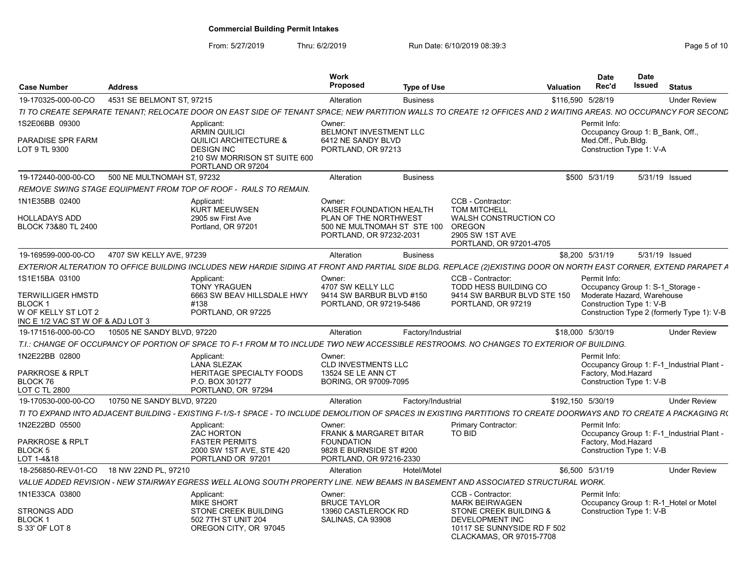| <b>Case Number</b>                                                                                                      | <b>Address</b>             |                                                                                                                                                                       | Work<br><b>Proposed</b>                                                                                                | <b>Type of Use</b> |                                                                                                                                                    | <b>Valuation</b> | <b>Date</b><br>Rec'd                                                                                       | <b>Date</b><br>Issued | <b>Status</b>                              |
|-------------------------------------------------------------------------------------------------------------------------|----------------------------|-----------------------------------------------------------------------------------------------------------------------------------------------------------------------|------------------------------------------------------------------------------------------------------------------------|--------------------|----------------------------------------------------------------------------------------------------------------------------------------------------|------------------|------------------------------------------------------------------------------------------------------------|-----------------------|--------------------------------------------|
| 19-170325-000-00-CO                                                                                                     | 4531 SE BELMONT ST. 97215  |                                                                                                                                                                       | Alteration                                                                                                             | <b>Business</b>    |                                                                                                                                                    |                  | \$116,590 5/28/19                                                                                          |                       | <b>Under Review</b>                        |
|                                                                                                                         |                            | TI TO CREATE SEPARATE TENANT; RELOCATE DOOR ON EAST SIDE OF TENANT SPACE; NEW PARTITION WALLS TO CREATE 12 OFFICES AND 2 WAITING AREAS. NO OCCUPANCY FOR SECOND       |                                                                                                                        |                    |                                                                                                                                                    |                  |                                                                                                            |                       |                                            |
| 1S2E06BB 09300<br>PARADISE SPR FARM<br>LOT 9 TL 9300                                                                    |                            | Applicant:<br><b>ARMIN QUILICI</b><br><b>QUILICI ARCHITECTURE &amp;</b><br><b>DESIGN INC</b><br>210 SW MORRISON ST SUITE 600                                          | Owner:<br><b>BELMONT INVESTMENT LLC</b><br>6412 NE SANDY BLVD<br>PORTLAND, OR 97213                                    |                    |                                                                                                                                                    |                  | Permit Info:<br>Occupancy Group 1: B Bank, Off.,<br>Med.Off., Pub.Bldg.<br>Construction Type 1: V-A        |                       |                                            |
| 19-172440-000-00-CO                                                                                                     | 500 NE MULTNOMAH ST, 97232 | PORTLAND OR 97204                                                                                                                                                     | Alteration                                                                                                             | <b>Business</b>    |                                                                                                                                                    |                  | \$500 5/31/19                                                                                              |                       | 5/31/19 Issued                             |
|                                                                                                                         |                            | REMOVE SWING STAGE EQUIPMENT FROM TOP OF ROOF -  RAILS TO REMAIN.                                                                                                     |                                                                                                                        |                    |                                                                                                                                                    |                  |                                                                                                            |                       |                                            |
| 1N1E35BB 02400<br>HOLLADAYS ADD<br>BLOCK 73&80 TL 2400                                                                  |                            | Applicant:<br><b>KURT MEEUWSEN</b><br>2905 sw First Ave<br>Portland, OR 97201                                                                                         | Owner:<br>KAISER FOUNDATION HEALTH<br>PLAN OF THE NORTHWEST<br>500 NE MULTNOMAH ST STE 100<br>PORTLAND, OR 97232-2031  |                    | CCB - Contractor:<br><b>TOM MITCHELL</b><br><b>WALSH CONSTRUCTION CO</b><br>OREGON<br>2905 SW 1ST AVE<br>PORTLAND, OR 97201-4705                   |                  |                                                                                                            |                       |                                            |
| 19-169599-000-00-CO                                                                                                     | 4707 SW KELLY AVE, 97239   |                                                                                                                                                                       | Alteration                                                                                                             | <b>Business</b>    |                                                                                                                                                    |                  | \$8,200 5/31/19                                                                                            |                       | 5/31/19 Issued                             |
|                                                                                                                         |                            | EXTERIOR ALTERATION TO OFFICE BUILDING INCLUDES NEW HARDIE SIDING AT FRONT AND PARTIAL SIDE BLDG. REPLACE (2)EXISTING DOOR ON NORTH EAST CORNER, EXTEND PARAPET A     |                                                                                                                        |                    |                                                                                                                                                    |                  |                                                                                                            |                       |                                            |
| 1S1E15BA 03100<br><b>TERWILLIGER HMSTD</b><br><b>BLOCK1</b><br>W OF KELLY ST LOT 2<br>INC E 1/2 VAC ST W OF & ADJ LOT 3 |                            | Applicant:<br><b>TONY YRAGUEN</b><br>6663 SW BEAV HILLSDALE HWY<br>#138<br>PORTLAND, OR 97225                                                                         | Owner:<br>4707 SW KELLY LLC<br>9414 SW BARBUR BLVD #150<br>PORTLAND, OR 97219-5486                                     |                    | CCB - Contractor:<br>TODD HESS BUILDING CO<br>9414 SW BARBUR BLVD STE 150<br>PORTLAND, OR 97219                                                    |                  | Permit Info:<br>Occupancy Group 1: S-1 Storage -<br>Moderate Hazard. Warehouse<br>Construction Type 1: V-B |                       | Construction Type 2 (formerly Type 1): V-B |
| 19-171516-000-00-CO                                                                                                     | 10505 NE SANDY BLVD, 97220 |                                                                                                                                                                       | Alteration                                                                                                             | Factory/Industrial |                                                                                                                                                    |                  | \$18,000 5/30/19                                                                                           |                       | <b>Under Review</b>                        |
|                                                                                                                         |                            | T.I.: CHANGE OF OCCUPANCY OF PORTION OF SPACE TO F-1 FROM M TO INCLUDE TWO NEW ACCESSIBLE RESTROOMS. NO CHANGES TO EXTERIOR OF BUILDING.                              |                                                                                                                        |                    |                                                                                                                                                    |                  |                                                                                                            |                       |                                            |
| 1N2E22BB 02800<br>PARKROSE & RPLT<br>BLOCK 76<br>LOT C TL 2800                                                          |                            | Applicant:<br><b>LANA SLEZAK</b><br>HERITAGE SPECIALTY FOODS<br>P.O. BOX 301277<br>PORTLAND, OR 97294                                                                 | Owner:<br><b>CLD INVESTMENTS LLC</b><br>13524 SE LE ANN CT<br>BORING, OR 97009-7095                                    |                    |                                                                                                                                                    |                  | Permit Info:<br>Factory, Mod.Hazard<br>Construction Type 1: V-B                                            |                       | Occupancy Group 1: F-1 Industrial Plant -  |
| 19-170530-000-00-CO                                                                                                     | 10750 NE SANDY BLVD, 97220 |                                                                                                                                                                       | Alteration                                                                                                             | Factory/Industrial |                                                                                                                                                    |                  | \$192,150 5/30/19                                                                                          |                       | <b>Under Review</b>                        |
|                                                                                                                         |                            | TI TO EXPAND INTO ADJACENT BUILDING - EXISTING F-1/S-1 SPACE - TO INCLUDE DEMOLITION OF SPACES IN EXISTING PARTITIONS TO CREATE DOORWAYS AND TO CREATE A PACKAGING RO |                                                                                                                        |                    |                                                                                                                                                    |                  |                                                                                                            |                       |                                            |
| 1N2E22BD 05500<br><b>PARKROSE &amp; RPLT</b><br>BLOCK 5<br>LOT 1-4&18                                                   |                            | Applicant:<br><b>ZAC HORTON</b><br><b>FASTER PERMITS</b><br>2000 SW 1ST AVE, STE 420<br>PORTLAND OR 97201                                                             | Owner:<br><b>FRANK &amp; MARGARET BITAR</b><br><b>FOUNDATION</b><br>9828 E BURNSIDE ST #200<br>PORTLAND, OR 97216-2330 |                    | Primary Contractor:<br>TO BID                                                                                                                      |                  | Permit Info:<br>Factory, Mod.Hazard<br>Construction Type 1: V-B                                            |                       | Occupancy Group 1: F-1 Industrial Plant -  |
| 18-256850-REV-01-CO                                                                                                     | 18 NW 22ND PL, 97210       |                                                                                                                                                                       | Alteration                                                                                                             | Hotel/Motel        |                                                                                                                                                    |                  | \$6.500 5/31/19                                                                                            |                       | <b>Under Review</b>                        |
|                                                                                                                         |                            | VALUE ADDED REVISION - NEW STAIRWAY EGRESS WELL ALONG SOUTH PROPERTY LINE. NEW BEAMS IN BASEMENT AND ASSOCIATED STRUCTURAL WORK.                                      |                                                                                                                        |                    |                                                                                                                                                    |                  |                                                                                                            |                       |                                            |
| 1N1E33CA 03800<br><b>STRONGS ADD</b><br><b>BLOCK1</b><br>S 33' OF LOT 8                                                 |                            | Applicant:<br><b>MIKE SHORT</b><br>STONE CREEK BUILDING<br>502 7TH ST UNIT 204<br>OREGON CITY, OR 97045                                                               | Owner:<br><b>BRUCE TAYLOR</b><br>13960 CASTLEROCK RD<br>SALINAS, CA 93908                                              |                    | CCB - Contractor:<br><b>MARK BEIRWAGEN</b><br>STONE CREEK BUILDING &<br>DEVELOPMENT INC<br>10117 SE SUNNYSIDE RD F 502<br>CLACKAMAS, OR 97015-7708 |                  | Permit Info:<br>Construction Type 1: V-B                                                                   |                       | Occupancy Group 1: R-1 Hotel or Motel      |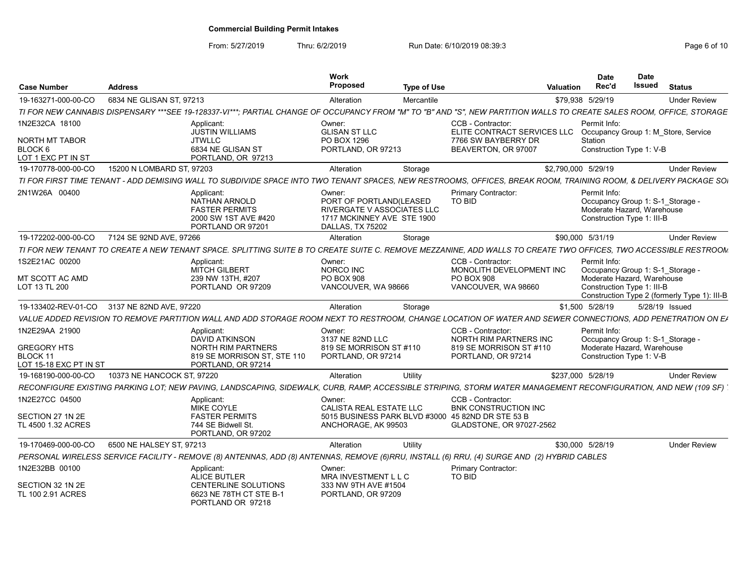| <b>Case Number</b>                    | <b>Address</b>                              |                                                                                                                                                                       | Work<br>Proposed                                                                                                         | <b>Type of Use</b> |                                                                                           | <b>Valuation</b>    | <b>Date</b><br>Rec'd                                                                                         | <b>Date</b><br><b>Issued</b> | <b>Status</b> |                                              |
|---------------------------------------|---------------------------------------------|-----------------------------------------------------------------------------------------------------------------------------------------------------------------------|--------------------------------------------------------------------------------------------------------------------------|--------------------|-------------------------------------------------------------------------------------------|---------------------|--------------------------------------------------------------------------------------------------------------|------------------------------|---------------|----------------------------------------------|
| 19-163271-000-00-CO                   | 6834 NE GLISAN ST, 97213                    |                                                                                                                                                                       | Alteration                                                                                                               | Mercantile         |                                                                                           |                     | \$79,938 5/29/19                                                                                             |                              |               | <b>Under Review</b>                          |
|                                       |                                             | TI FOR NEW CANNABIS DISPENSARY ***SEE 19-128337-VI***: PARTIAL CHANGE OF OCCUPANCY FROM "M" TO "B" AND "S". NEW PARTITION WALLS TO CREATE SALES ROOM. OFFICE. STORAGE |                                                                                                                          |                    |                                                                                           |                     |                                                                                                              |                              |               |                                              |
| 1N2E32CA 18100                        |                                             | Applicant<br><b>JUSTIN WILLIAMS</b>                                                                                                                                   | Owner:<br><b>GLISAN ST LLC</b>                                                                                           |                    | CCB - Contractor:<br>ELITE CONTRACT SERVICES LLC                                          |                     | Permit Info:<br>Occupancy Group 1: M Store, Service                                                          |                              |               |                                              |
| <b>NORTH MT TABOR</b>                 |                                             | <b>JTWLLC</b>                                                                                                                                                         | PO BOX 1296                                                                                                              |                    | 7766 SW BAYBERRY DR                                                                       |                     | Station                                                                                                      |                              |               |                                              |
| BLOCK 6<br>LOT 1 EXC PT IN ST         |                                             | 6834 NE GLISAN ST<br>PORTLAND, OR 97213                                                                                                                               | PORTLAND, OR 97213                                                                                                       |                    | BEAVERTON, OR 97007                                                                       |                     | Construction Type 1: V-B                                                                                     |                              |               |                                              |
| 19-170778-000-00-CO                   | 15200 N LOMBARD ST, 97203                   |                                                                                                                                                                       | Alteration                                                                                                               | Storage            |                                                                                           | \$2,790,000 5/29/19 |                                                                                                              |                              |               | <b>Under Review</b>                          |
|                                       |                                             | TI FOR FIRST TIME TENANT - ADD DEMISING WALL TO SUBDIVIDE SPACE INTO TWO TENANT SPACES. NEW RESTROOMS. OFFICES. BREAK ROOM. TRAINING ROOM. & DELIVERY PACKAGE SOI     |                                                                                                                          |                    |                                                                                           |                     |                                                                                                              |                              |               |                                              |
| 2N1W26A 00400                         |                                             | Applicant<br><b>NATHAN ARNOLD</b><br><b>FASTER PERMITS</b><br>2000 SW 1ST AVE #420<br>PORTLAND OR 97201                                                               | Owner:<br>PORT OF PORTLAND(LEASED<br><b>RIVERGATE V ASSOCIATES LLC</b><br>1717 MCKINNEY AVE STE 1900<br>DALLAS. TX 75202 |                    | <b>Primary Contractor:</b><br>TO BID                                                      |                     | Permit Info:<br>Occupancy Group 1: S-1 Storage -<br>Moderate Hazard, Warehouse<br>Construction Type 1: III-B |                              |               |                                              |
| 19-172202-000-00-CO                   | 7124 SE 92ND AVE, 97266                     |                                                                                                                                                                       | Alteration                                                                                                               | Storage            |                                                                                           |                     | \$90,000 5/31/19                                                                                             |                              |               | <b>Under Review</b>                          |
|                                       |                                             | TI FOR NEW TENANT TO CREATE A NEW TENANT SPACE. SPLITTING SUITE B TO CREATE SUITE C. REMOVE MEZZANINE, ADD WALLS TO CREATE TWO OFFICES, TWO ACCESSIBLE RESTROOM       |                                                                                                                          |                    |                                                                                           |                     |                                                                                                              |                              |               |                                              |
| 1S2E21AC 00200                        |                                             | Applicant:<br>MITCH GILBERT                                                                                                                                           | Owner:<br>NORCO INC                                                                                                      |                    | CCB - Contractor:<br>MONOLITH DEVELOPMENT INC                                             |                     | Permit Info:<br>Occupancy Group 1: S-1 Storage -                                                             |                              |               |                                              |
| MT SCOTT AC AMD<br>LOT 13 TL 200      |                                             | 239 NW 13TH, #207<br>PORTLAND OR 97209                                                                                                                                | <b>PO BOX 908</b><br>VANCOUVER, WA 98666                                                                                 |                    | <b>PO BOX 908</b><br>VANCOUVER, WA 98660                                                  |                     | Moderate Hazard, Warehouse<br>Construction Type 1: III-B                                                     |                              |               | Construction Type 2 (formerly Type 1): III-B |
|                                       | 19-133402-REV-01-CO 3137 NE 82ND AVE, 97220 |                                                                                                                                                                       | Alteration                                                                                                               | Storage            |                                                                                           |                     | \$1,500 5/28/19                                                                                              | 5/28/19 Issued               |               |                                              |
|                                       |                                             | VALUE ADDED REVISION TO REMOVE PARTITION WALL AND ADD STORAGE ROOM NEXT TO RESTROOM, CHANGE LOCATION OF WATER AND SEWER CONNECTIONS, ADD PENETRATION ON EA            |                                                                                                                          |                    |                                                                                           |                     |                                                                                                              |                              |               |                                              |
| 1N2E29AA 21900                        |                                             | Applicant:<br><b>DAVID ATKINSON</b>                                                                                                                                   | Owner:<br>3137 NE 82ND LLC                                                                                               |                    | CCB - Contractor:<br>NORTH RIM PARTNERS INC                                               |                     | Permit Info:<br>Occupancy Group 1: S-1 Storage -                                                             |                              |               |                                              |
| <b>GREGORY HTS</b>                    |                                             | <b>NORTH RIM PARTNERS</b>                                                                                                                                             | 819 SE MORRISON ST #110                                                                                                  |                    | 819 SE MORRISON ST #110                                                                   |                     | Moderate Hazard, Warehouse                                                                                   |                              |               |                                              |
| BLOCK 11                              |                                             | 819 SE MORRISON ST. STE 110                                                                                                                                           | PORTLAND, OR 97214                                                                                                       |                    | PORTLAND, OR 97214                                                                        |                     | Construction Type 1: V-B                                                                                     |                              |               |                                              |
| LOT 15-18 EXC PT IN ST                |                                             | PORTLAND, OR 97214                                                                                                                                                    |                                                                                                                          |                    |                                                                                           |                     |                                                                                                              |                              |               |                                              |
| 19-168190-000-00-CO                   | 10373 NE HANCOCK ST, 97220                  |                                                                                                                                                                       | Alteration                                                                                                               | Utility            |                                                                                           |                     | \$237,000 5/28/19                                                                                            |                              |               | <b>Under Review</b>                          |
|                                       |                                             | RECONFIGURE EXISTING PARKING LOT: NEW PAVING, LANDSCAPING, SIDEWALK,                                                                                                  |                                                                                                                          |                    | CURB, RAMP, ACCESSIBLE STRIPING, STORM WATER MANAGEMENT RECONFIGURATION, AND NEW (109 SF) |                     |                                                                                                              |                              |               |                                              |
| 1N2E27CC 04500                        |                                             | Applicant:<br><b>MIKE COYLE</b>                                                                                                                                       | Owner:<br><b>CALISTA REAL ESTATE LLC</b>                                                                                 |                    | CCB - Contractor:<br><b>BNK CONSTRUCTION INC</b>                                          |                     |                                                                                                              |                              |               |                                              |
| SECTION 27 1N 2E                      |                                             | <b>FASTER PERMITS</b>                                                                                                                                                 |                                                                                                                          |                    | 5015 BUSINESS PARK BLVD #3000 45 82ND DR STE 53 B                                         |                     |                                                                                                              |                              |               |                                              |
| TL 4500 1.32 ACRES                    |                                             | 744 SE Bidwell St.<br>PORTLAND, OR 97202                                                                                                                              | ANCHORAGE, AK 99503                                                                                                      |                    | GLADSTONE, OR 97027-2562                                                                  |                     |                                                                                                              |                              |               |                                              |
| 19-170469-000-00-CO                   | 6500 NE HALSEY ST. 97213                    |                                                                                                                                                                       | Alteration                                                                                                               | Utility            |                                                                                           |                     | \$30,000 5/28/19                                                                                             |                              |               | <b>Under Review</b>                          |
|                                       |                                             | PERSONAL WIRELESS SERVICE FACILITY - REMOVE (8) ANTENNAS, ADD (8) ANTENNAS, REMOVE (6)RRU, INSTALL (6) RRU, (4) SURGE AND (2) HYBRID CABLES                           |                                                                                                                          |                    |                                                                                           |                     |                                                                                                              |                              |               |                                              |
| 1N2E32BB 00100                        |                                             | Applicant<br><b>ALICE BUTLER</b>                                                                                                                                      | Owner:<br>MRA INVESTMENT L L C                                                                                           |                    | Primary Contractor:<br>TO BID                                                             |                     |                                                                                                              |                              |               |                                              |
| SECTION 32 1N 2E<br>TL 100 2.91 ACRES |                                             | <b>CENTERLINE SOLUTIONS</b><br>6623 NE 78TH CT STE B-1<br>PORTLAND OR 97218                                                                                           | 333 NW 9TH AVE #1504<br>PORTLAND, OR 97209                                                                               |                    |                                                                                           |                     |                                                                                                              |                              |               |                                              |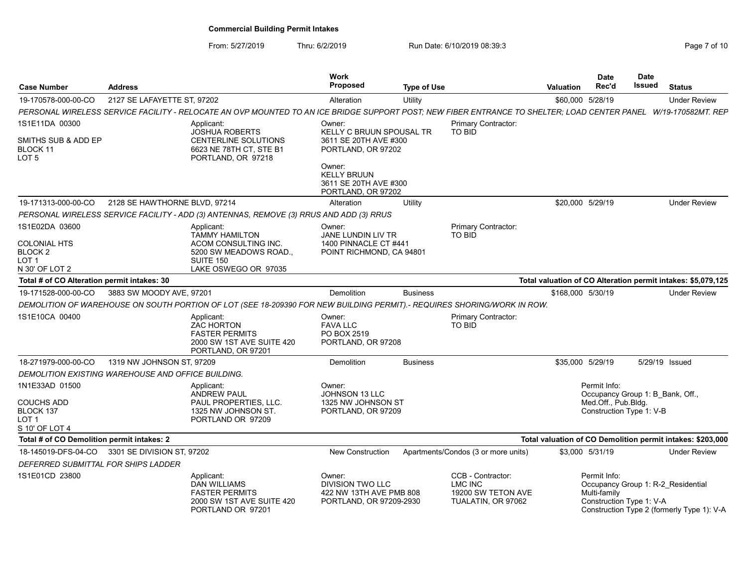|                                             |                                                    |                                                                                                                                                                 | <b>Work</b><br><b>Proposed</b>                                                |                    |                                                            |                   | <b>Date</b>                                             | Date<br>Issued |                                                              |
|---------------------------------------------|----------------------------------------------------|-----------------------------------------------------------------------------------------------------------------------------------------------------------------|-------------------------------------------------------------------------------|--------------------|------------------------------------------------------------|-------------------|---------------------------------------------------------|----------------|--------------------------------------------------------------|
| <b>Case Number</b>                          | <b>Address</b>                                     |                                                                                                                                                                 |                                                                               | <b>Type of Use</b> |                                                            | Valuation         | Rec'd                                                   |                | <b>Status</b>                                                |
| 19-170578-000-00-CO                         | 2127 SE LAFAYETTE ST, 97202                        |                                                                                                                                                                 | Alteration                                                                    | Utility            |                                                            | \$60,000 5/28/19  |                                                         |                | <b>Under Review</b>                                          |
|                                             |                                                    | PERSONAL WIRELESS SERVICE FACILITY - RELOCATE AN OVP MOUNTED TO AN ICE BRIDGE SUPPORT POST; NEW FIBER ENTRANCE TO SHELTER; LOAD CENTER PANEL W/19-170582MT. REP |                                                                               |                    |                                                            |                   |                                                         |                |                                                              |
| 1S1E11DA 00300                              |                                                    | Applicant:                                                                                                                                                      | Owner:                                                                        |                    | Primary Contractor:<br>TO BID                              |                   |                                                         |                |                                                              |
| SMITHS SUB & ADD EP                         |                                                    | <b>JOSHUA ROBERTS</b><br>CENTERLINE SOLUTIONS                                                                                                                   | KELLY C BRUUN SPOUSAL TR<br>3611 SE 20TH AVE #300                             |                    |                                                            |                   |                                                         |                |                                                              |
| BLOCK 11<br>LOT <sub>5</sub>                |                                                    | 6623 NE 78TH CT, STE B1<br>PORTLAND, OR 97218                                                                                                                   | PORTLAND, OR 97202                                                            |                    |                                                            |                   |                                                         |                |                                                              |
|                                             |                                                    |                                                                                                                                                                 | Owner:<br><b>KELLY BRUUN</b><br>3611 SE 20TH AVE #300<br>PORTLAND, OR 97202   |                    |                                                            |                   |                                                         |                |                                                              |
| 19-171313-000-00-CO                         | 2128 SE HAWTHORNE BLVD, 97214                      |                                                                                                                                                                 | Alteration                                                                    | Utility            |                                                            | \$20,000 5/29/19  |                                                         |                | <b>Under Review</b>                                          |
|                                             |                                                    | PERSONAL WIRELESS SERVICE FACILITY - ADD (3) ANTENNAS, REMOVE (3) RRUS AND ADD (3) RRUS                                                                         |                                                                               |                    |                                                            |                   |                                                         |                |                                                              |
| 1S1E02DA 03600                              |                                                    | Applicant:                                                                                                                                                      | Owner:                                                                        |                    | Primary Contractor:                                        |                   |                                                         |                |                                                              |
|                                             |                                                    | <b>TAMMY HAMILTON</b>                                                                                                                                           | <b>JANE LUNDIN LIV TR</b>                                                     |                    | <b>TO BID</b>                                              |                   |                                                         |                |                                                              |
| <b>COLONIAL HTS</b><br>BLOCK <sub>2</sub>   |                                                    | ACOM CONSULTING INC.<br>5200 SW MEADOWS ROAD.,                                                                                                                  | 1400 PINNACLE CT #441<br>POINT RICHMOND, CA 94801                             |                    |                                                            |                   |                                                         |                |                                                              |
| LOT <sub>1</sub>                            |                                                    | <b>SUITE 150</b>                                                                                                                                                |                                                                               |                    |                                                            |                   |                                                         |                |                                                              |
| N 30' OF LOT 2                              |                                                    | LAKE OSWEGO OR 97035                                                                                                                                            |                                                                               |                    |                                                            |                   |                                                         |                |                                                              |
| Total # of CO Alteration permit intakes: 30 |                                                    |                                                                                                                                                                 |                                                                               |                    |                                                            |                   |                                                         |                | Total valuation of CO Alteration permit intakes: \$5,079,125 |
| 19-171528-000-00-CO                         | 3883 SW MOODY AVE, 97201                           |                                                                                                                                                                 | Demolition                                                                    | <b>Business</b>    |                                                            | \$168,000 5/30/19 |                                                         |                | <b>Under Review</b>                                          |
|                                             |                                                    | DEMOLITION OF WAREHOUSE ON SOUTH PORTION OF LOT (SEE 18-209390 FOR NEW BUILDING PERMIT).- REQUIRES SHORING/WORK IN ROW.                                         |                                                                               |                    |                                                            |                   |                                                         |                |                                                              |
| 1S1E10CA 00400                              |                                                    | Applicant:<br><b>ZAC HORTON</b><br><b>FASTER PERMITS</b><br>2000 SW 1ST AVE SUITE 420<br>PORTLAND, OR 97201                                                     | Owner:<br><b>FAVA LLC</b><br>PO BOX 2519<br>PORTLAND, OR 97208                |                    | Primary Contractor:<br>TO BID                              |                   |                                                         |                |                                                              |
| 18-271979-000-00-CO                         | 1319 NW JOHNSON ST, 97209                          |                                                                                                                                                                 | Demolition                                                                    | <b>Business</b>    |                                                            | \$35,000 5/29/19  |                                                         | 5/29/19 Issued |                                                              |
|                                             | DEMOLITION EXISTING WAREHOUSE AND OFFICE BUILDING. |                                                                                                                                                                 |                                                                               |                    |                                                            |                   |                                                         |                |                                                              |
| 1N1E33AD 01500                              |                                                    | Applicant:                                                                                                                                                      | Owner:                                                                        |                    |                                                            |                   | Permit Info:                                            |                |                                                              |
| <b>COUCHS ADD</b>                           |                                                    | <b>ANDREW PAUL</b><br>PAUL PROPERTIES, LLC.                                                                                                                     | <b>JOHNSON 13 LLC</b><br>1325 NW JOHNSON ST                                   |                    |                                                            |                   | Occupancy Group 1: B_Bank, Off.,<br>Med.Off., Pub.Bldg. |                |                                                              |
| BLOCK 137                                   |                                                    | 1325 NW JOHNSON ST.                                                                                                                                             | PORTLAND, OR 97209                                                            |                    |                                                            |                   | Construction Type 1: V-B                                |                |                                                              |
| LOT <sub>1</sub><br>S 10' OF LOT 4          |                                                    | PORTLAND OR 97209                                                                                                                                               |                                                                               |                    |                                                            |                   |                                                         |                |                                                              |
| Total # of CO Demolition permit intakes: 2  |                                                    |                                                                                                                                                                 |                                                                               |                    |                                                            |                   |                                                         |                | Total valuation of CO Demolition permit intakes: \$203,000   |
|                                             | 18-145019-DFS-04-CO 3301 SE DIVISION ST, 97202     |                                                                                                                                                                 | <b>New Construction</b>                                                       |                    | Apartments/Condos (3 or more units)                        |                   | \$3.000 5/31/19                                         |                | <b>Under Review</b>                                          |
| DEFERRED SUBMITTAL FOR SHIPS LADDER         |                                                    |                                                                                                                                                                 |                                                                               |                    |                                                            |                   |                                                         |                |                                                              |
| 1S1E01CD 23800                              |                                                    | Applicant:                                                                                                                                                      | Owner:                                                                        |                    | CCB - Contractor:                                          |                   | Permit Info:                                            |                |                                                              |
|                                             |                                                    | <b>DAN WILLIAMS</b><br><b>FASTER PERMITS</b><br>2000 SW 1ST AVE SUITE 420                                                                                       | <b>DIVISION TWO LLC</b><br>422 NW 13TH AVE PMB 808<br>PORTLAND, OR 97209-2930 |                    | <b>LMC INC</b><br>19200 SW TETON AVE<br>TUALATIN, OR 97062 |                   | Multi-family<br>Construction Type 1: V-A                |                | Occupancy Group 1: R-2 Residential                           |
|                                             |                                                    | PORTLAND OR 97201                                                                                                                                               |                                                                               |                    |                                                            |                   |                                                         |                | Construction Type 2 (formerly Type 1): V-A                   |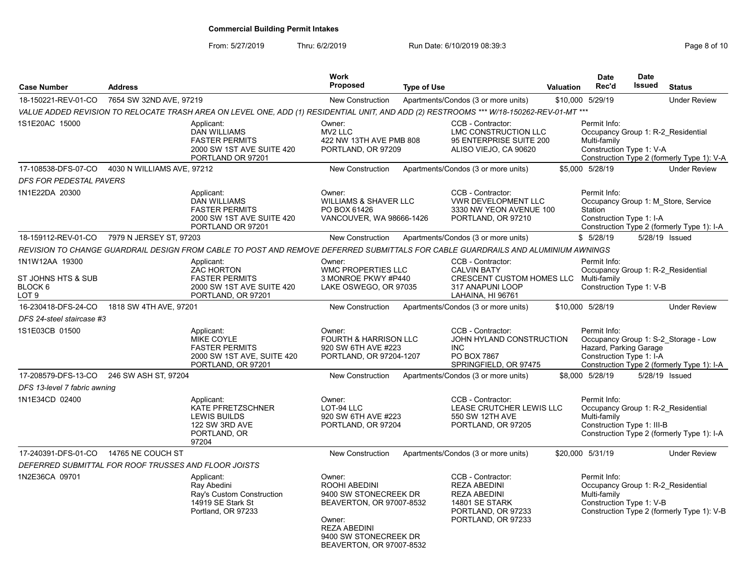| <b>Case Number</b>                                                  | <b>Address</b>             |                                                                                                                                         | <b>Work</b><br>Proposed                                                                                                                                            | <b>Type of Use</b> |                                                                                                                               | <b>Valuation</b> | Date<br>Rec'd                                                                                    | <b>Date</b><br><b>Issued</b> | <b>Status</b>                                                                      |
|---------------------------------------------------------------------|----------------------------|-----------------------------------------------------------------------------------------------------------------------------------------|--------------------------------------------------------------------------------------------------------------------------------------------------------------------|--------------------|-------------------------------------------------------------------------------------------------------------------------------|------------------|--------------------------------------------------------------------------------------------------|------------------------------|------------------------------------------------------------------------------------|
| 18-150221-REV-01-CO                                                 | 7654 SW 32ND AVE, 97219    |                                                                                                                                         | <b>New Construction</b>                                                                                                                                            |                    | Apartments/Condos (3 or more units)                                                                                           |                  | \$10.000 5/29/19                                                                                 |                              | <b>Under Review</b>                                                                |
|                                                                     |                            | VALUE ADDED REVISION TO RELOCATE TRASH AREA ON LEVEL ONE, ADD (1) RESIDENTIAL UNIT, AND ADD (2) RESTROOMS *** W/18-150262-REV-01-MT *** |                                                                                                                                                                    |                    |                                                                                                                               |                  |                                                                                                  |                              |                                                                                    |
| 1S1E20AC 15000                                                      |                            | Applicant:<br><b>DAN WILLIAMS</b><br><b>FASTER PERMITS</b><br>2000 SW 1ST AVE SUITE 420<br>PORTLAND OR 97201                            | Owner:<br>MV <sub>2</sub> LLC<br>422 NW 13TH AVE PMB 808<br>PORTLAND, OR 97209                                                                                     |                    | CCB - Contractor:<br>LMC CONSTRUCTION LLC<br>95 ENTERPRISE SUITE 200<br>ALISO VIEJO, CA 90620                                 |                  | Permit Info:<br>Occupancy Group 1: R-2 Residential<br>Multi-family<br>Construction Type 1: V-A   |                              | Construction Type 2 (formerly Type 1): V-A                                         |
| 17-108538-DFS-07-CO                                                 | 4030 N WILLIAMS AVE, 97212 |                                                                                                                                         | <b>New Construction</b>                                                                                                                                            |                    | Apartments/Condos (3 or more units)                                                                                           |                  | \$5.000 5/28/19                                                                                  |                              | <b>Under Review</b>                                                                |
| <b>DFS FOR PEDESTAL PAVERS</b>                                      |                            |                                                                                                                                         |                                                                                                                                                                    |                    |                                                                                                                               |                  |                                                                                                  |                              |                                                                                    |
| 1N1E22DA 20300                                                      |                            | Applicant:<br><b>DAN WILLIAMS</b><br><b>FASTER PERMITS</b><br>2000 SW 1ST AVE SUITE 420<br>PORTLAND OR 97201                            | Owner:<br><b>WILLIAMS &amp; SHAVER LLC</b><br>PO BOX 61426<br>VANCOUVER, WA 98666-1426                                                                             |                    | CCB - Contractor:<br><b>VWR DEVELOPMENT LLC</b><br>3330 NW YEON AVENUE 100<br>PORTLAND, OR 97210                              |                  | Permit Info:<br>Station<br>Construction Type 1: I-A                                              |                              | Occupancy Group 1: M Store, Service<br>Construction Type 2 (formerly Type 1): I-A  |
| 18-159112-REV-01-CO                                                 | 7979 N JERSEY ST, 97203    |                                                                                                                                         | New Construction                                                                                                                                                   |                    | Apartments/Condos (3 or more units)                                                                                           |                  | \$5/28/19                                                                                        |                              | 5/28/19 Issued                                                                     |
|                                                                     |                            | REVISION TO CHANGE GUARDRAIL DESIGN FROM CABLE TO POST AND REMOVE DEFERRED SUBMITTALS FOR CABLE GUARDRAILS AND ALUMINIUM AWNINGS        |                                                                                                                                                                    |                    |                                                                                                                               |                  |                                                                                                  |                              |                                                                                    |
| 1N1W12AA 19300<br>ST JOHNS HTS & SUB<br>BLOCK <sub>6</sub><br>LOT 9 |                            | Applicant:<br><b>ZAC HORTON</b><br><b>FASTER PERMITS</b><br>2000 SW 1ST AVE SUITE 420<br>PORTLAND, OR 97201                             | Owner:<br><b>WMC PROPERTIES LLC</b><br>3 MONROE PKWY #P440<br>LAKE OSWEGO, OR 97035                                                                                |                    | CCB - Contractor:<br><b>CALVIN BATY</b><br>CRESCENT CUSTOM HOMES LLC<br>317 ANAPUNI LOOP<br>LAHAINA, HI 96761                 |                  | Permit Info:<br>Occupancy Group 1: R-2 Residential<br>Multi-family<br>Construction Type 1: V-B   |                              |                                                                                    |
| 16-230418-DFS-24-CO                                                 | 1818 SW 4TH AVE, 97201     |                                                                                                                                         | <b>New Construction</b>                                                                                                                                            |                    | Apartments/Condos (3 or more units)                                                                                           |                  | \$10,000 5/28/19                                                                                 |                              | <b>Under Review</b>                                                                |
| DFS 24-steel staircase #3                                           |                            |                                                                                                                                         |                                                                                                                                                                    |                    |                                                                                                                               |                  |                                                                                                  |                              |                                                                                    |
| 1S1E03CB 01500                                                      |                            | Applicant:<br>MIKE COYLE<br><b>FASTER PERMITS</b><br>2000 SW 1ST AVE, SUITE 420<br>PORTLAND, OR 97201                                   | Owner:<br><b>FOURTH &amp; HARRISON LLC</b><br>920 SW 6TH AVE #223<br>PORTLAND, OR 97204-1207                                                                       |                    | CCB - Contractor:<br>JOHN HYLAND CONSTRUCTION<br>INC.<br>PO BOX 7867<br>SPRINGFIELD, OR 97475                                 |                  | Permit Info:<br>Hazard, Parking Garage<br>Construction Type 1: I-A                               |                              | Occupancy Group 1: S-2 Storage - Low<br>Construction Type 2 (formerly Type 1): I-A |
| 17-208579-DFS-13-CO                                                 | 246 SW ASH ST, 97204       |                                                                                                                                         | <b>New Construction</b>                                                                                                                                            |                    | Apartments/Condos (3 or more units)                                                                                           |                  | \$8,000 5/28/19                                                                                  |                              | 5/28/19 Issued                                                                     |
| DFS 13-level 7 fabric awning                                        |                            |                                                                                                                                         |                                                                                                                                                                    |                    |                                                                                                                               |                  |                                                                                                  |                              |                                                                                    |
| 1N1E34CD 02400                                                      |                            | Applicant:<br>KATE PFRETZSCHNER<br>LEWIS BUILDS<br>122 SW 3RD AVE<br>PORTLAND, OR<br>97204                                              | Owner:<br>LOT-94 LLC<br>920 SW 6TH AVE #223<br>PORTLAND, OR 97204                                                                                                  |                    | CCB - Contractor:<br>LEASE CRUTCHER LEWIS LLC<br>550 SW 12TH AVE<br>PORTLAND, OR 97205                                        |                  | Permit Info:<br>Occupancy Group 1: R-2 Residential<br>Multi-family<br>Construction Type 1: III-B |                              | Construction Type 2 (formerly Type 1): I-A                                         |
| 17-240391-DFS-01-CO                                                 | 14765 NE COUCH ST          |                                                                                                                                         | <b>New Construction</b>                                                                                                                                            |                    | Apartments/Condos (3 or more units)                                                                                           |                  | \$20,000 5/31/19                                                                                 |                              | <b>Under Review</b>                                                                |
| DEFERRED SUBMITTAL FOR ROOF TRUSSES AND FLOOR JOISTS                |                            |                                                                                                                                         |                                                                                                                                                                    |                    |                                                                                                                               |                  |                                                                                                  |                              |                                                                                    |
| 1N2E36CA 09701                                                      |                            | Applicant:<br>Ray Abedini<br>Ray's Custom Construction<br>14919 SE Stark St<br>Portland, OR 97233                                       | Owner:<br>ROOHI ABEDINI<br>9400 SW STONECREEK DR<br>BEAVERTON, OR 97007-8532<br>Owner:<br><b>REZA ABEDINI</b><br>9400 SW STONECREEK DR<br>BEAVERTON, OR 97007-8532 |                    | CCB - Contractor:<br><b>REZA ABEDINI</b><br>REZA ABEDINI<br><b>14801 SE STARK</b><br>PORTLAND, OR 97233<br>PORTLAND, OR 97233 |                  | Permit Info:<br>Occupancy Group 1: R-2 Residential<br>Multi-family<br>Construction Type 1: V-B   |                              | Construction Type 2 (formerly Type 1): V-B                                         |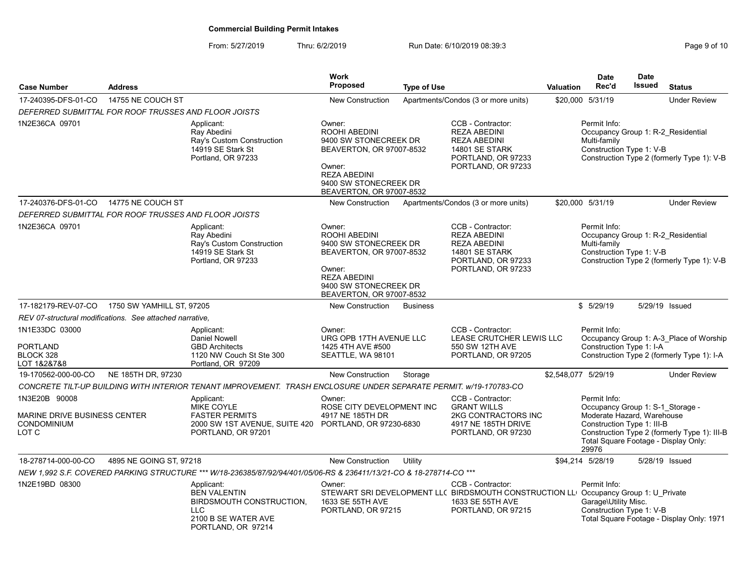| <b>Case Number</b>                                                           | <b>Address</b>            |                                                                                                                                  | <b>Work</b><br><b>Proposed</b>                                                                                                                                     | <b>Type of Use</b> |                                                                                                                                                    | <b>Valuation</b> | <b>Date</b><br>Rec'd                                                                                                  | <b>Date</b><br><b>Issued</b> | <b>Status</b>                                                                         |
|------------------------------------------------------------------------------|---------------------------|----------------------------------------------------------------------------------------------------------------------------------|--------------------------------------------------------------------------------------------------------------------------------------------------------------------|--------------------|----------------------------------------------------------------------------------------------------------------------------------------------------|------------------|-----------------------------------------------------------------------------------------------------------------------|------------------------------|---------------------------------------------------------------------------------------|
| 17-240395-DFS-01-CO                                                          | 14755 NE COUCH ST         |                                                                                                                                  | <b>New Construction</b>                                                                                                                                            |                    | Apartments/Condos (3 or more units)                                                                                                                |                  | \$20,000 5/31/19                                                                                                      |                              | <b>Under Review</b>                                                                   |
| DEFERRED SUBMITTAL FOR ROOF TRUSSES AND FLOOR JOISTS                         |                           |                                                                                                                                  |                                                                                                                                                                    |                    |                                                                                                                                                    |                  |                                                                                                                       |                              |                                                                                       |
| 1N2E36CA 09701                                                               |                           | Applicant:<br>Ray Abedini<br>Ray's Custom Construction<br>14919 SE Stark St<br>Portland, OR 97233                                | Owner:<br>ROOHI ABEDINI<br>9400 SW STONECREEK DR<br>BEAVERTON, OR 97007-8532<br>Owner:<br><b>REZA ABEDINI</b><br>9400 SW STONECREEK DR<br>BEAVERTON, OR 97007-8532 |                    | CCB - Contractor:<br><b>REZA ABEDINI</b><br><b>REZA ABEDINI</b><br>14801 SE STARK<br>PORTLAND, OR 97233<br>PORTLAND, OR 97233                      |                  | Permit Info:<br>Multi-family<br>Construction Type 1: V-B                                                              |                              | Occupancy Group 1: R-2 Residential<br>Construction Type 2 (formerly Type 1): V-B      |
| 17-240376-DFS-01-CO                                                          | 14775 NE COUCH ST         |                                                                                                                                  | New Construction                                                                                                                                                   |                    | Apartments/Condos (3 or more units)                                                                                                                |                  | \$20,000 5/31/19                                                                                                      |                              | <b>Under Review</b>                                                                   |
| DEFERRED SUBMITTAL FOR ROOF TRUSSES AND FLOOR JOISTS                         |                           |                                                                                                                                  |                                                                                                                                                                    |                    |                                                                                                                                                    |                  |                                                                                                                       |                              |                                                                                       |
| 1N2E36CA 09701                                                               |                           | Applicant:<br>Ray Abedini<br>Ray's Custom Construction<br>14919 SE Stark St<br>Portland, OR 97233                                | Owner:<br>ROOHI ABEDINI<br>9400 SW STONECREEK DR<br>BEAVERTON, OR 97007-8532<br>Owner:<br><b>REZA ABEDINI</b><br>9400 SW STONECREEK DR<br>BEAVERTON, OR 97007-8532 |                    | CCB - Contractor:<br><b>REZA ABEDINI</b><br><b>REZA ABEDINI</b><br><b>14801 SE STARK</b><br>PORTLAND, OR 97233<br>PORTLAND, OR 97233               |                  | Permit Info:<br>Multi-family<br>Construction Type 1: V-B                                                              |                              | Occupancy Group 1: R-2 Residential<br>Construction Type 2 (formerly Type 1): V-B      |
| 17-182179-REV-07-CO                                                          | 1750 SW YAMHILL ST, 97205 |                                                                                                                                  | <b>New Construction</b>                                                                                                                                            | <b>Business</b>    |                                                                                                                                                    |                  | \$5/29/19                                                                                                             |                              | 5/29/19 Issued                                                                        |
| REV 07-structural modifications. See attached narrative.                     |                           |                                                                                                                                  |                                                                                                                                                                    |                    |                                                                                                                                                    |                  |                                                                                                                       |                              |                                                                                       |
| 1N1E33DC 03000<br><b>PORTLAND</b><br>BLOCK 328<br>LOT 1&2&7&8                |                           | Applicant:<br><b>Daniel Nowell</b><br><b>GBD Architects</b><br>1120 NW Couch St Ste 300<br>Portland, OR 97209                    | Owner:<br>URG OPB 17TH AVENUE LLC<br>1425 4TH AVE #500<br>SEATTLE, WA 98101                                                                                        |                    | CCB - Contractor:<br>LEASE CRUTCHER LEWIS LLC<br>550 SW 12TH AVE<br>PORTLAND, OR 97205                                                             |                  | Permit Info:<br>Construction Type 1: I-A                                                                              |                              | Occupancy Group 1: A-3 Place of Worship<br>Construction Type 2 (formerly Type 1): I-A |
| 19-170562-000-00-CO                                                          | NE 185TH DR, 97230        |                                                                                                                                  | New Construction                                                                                                                                                   | Storage            |                                                                                                                                                    |                  | \$2,548,077 5/29/19                                                                                                   |                              | <b>Under Review</b>                                                                   |
|                                                                              |                           | CONCRETE TILT-UP BUILDING WITH INTERIOR TENANT IMPROVEMENT. TRASH ENCLOSURE UNDER SEPARATE PERMIT. W/19-170783-CO                |                                                                                                                                                                    |                    |                                                                                                                                                    |                  |                                                                                                                       |                              |                                                                                       |
| 1N3E20B 90008<br>MARINE DRIVE BUSINESS CENTER<br><b>CONDOMINIUM</b><br>LOT C |                           | Applicant:<br>MIKE COYLE<br><b>FASTER PERMITS</b><br>2000 SW 1ST AVENUE, SUITE 420 PORTLAND, OR 97230-6830<br>PORTLAND, OR 97201 | Owner:<br>ROSE CITY DEVELOPMENT INC<br>4917 NE 185TH DR                                                                                                            |                    | CCB - Contractor:<br><b>GRANT WILLS</b><br>2KG CONTRACTORS INC<br>4917 NE 185TH DRIVE<br>PORTLAND, OR 97230                                        |                  | Permit Info:<br>Occupancy Group 1: S-1_Storage -<br>Moderate Hazard, Warehouse<br>Construction Type 1: III-B<br>29976 |                              | Construction Type 2 (formerly Type 1): III-B<br>Total Square Footage - Display Only:  |
| 18-278714-000-00-CO                                                          | 4895 NE GOING ST, 97218   |                                                                                                                                  | <b>New Construction</b>                                                                                                                                            | Utility            |                                                                                                                                                    |                  | \$94,214 5/28/19                                                                                                      |                              | 5/28/19 Issued                                                                        |
|                                                                              |                           | NEW 1,992 S.F. COVERED PARKING STRUCTURE *** W/18-236385/87/92/94/401/05/06-RS & 236411/13/21-CO & 18-278714-CO ***              |                                                                                                                                                                    |                    |                                                                                                                                                    |                  |                                                                                                                       |                              |                                                                                       |
| 1N2E19BD 08300                                                               |                           | Applicant:<br><b>BEN VALENTIN</b><br><b>BIRDSMOUTH CONSTRUCTION,</b><br><b>LLC</b><br>2100 B SE WATER AVE<br>PORTLAND, OR 97214  | Owner:<br>1633 SE 55TH AVE<br>PORTLAND, OR 97215                                                                                                                   |                    | CCB - Contractor:<br>STEWART SRI DEVELOPMENT LL( BIRDSMOUTH CONSTRUCTION LL Occupancy Group 1: U Private<br>1633 SE 55TH AVE<br>PORTLAND, OR 97215 |                  | Permit Info:<br>Garage\Utility Misc.<br>Construction Type 1: V-B                                                      |                              | Total Square Footage - Display Only: 1971                                             |